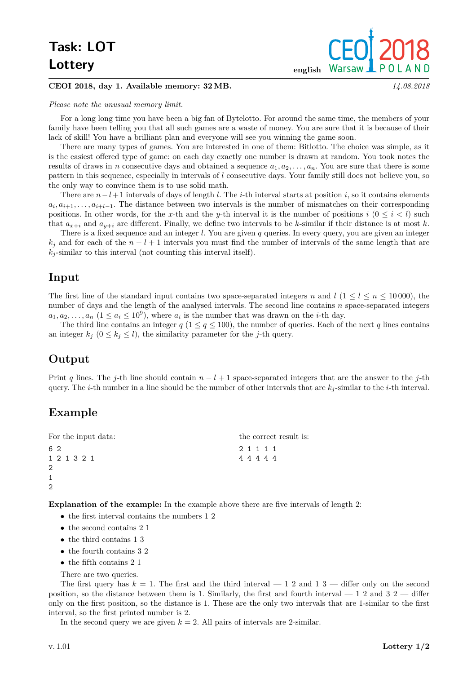# **Task: LOT Lottery** english

#### **CEOI 2018, day 1. Available memory: 32 MB.** *14.08.2018*

#### *Please note the unusual memory limit.*

For a long long time you have been a big fan of Bytelotto. For around the same time, the members of your family have been telling you that all such games are a waste of money. You are sure that it is because of their lack of skill! You have a brilliant plan and everyone will see you winning the game soon.

There are many types of games. You are interested in one of them: Bitlotto. The choice was simple, as it is the easiest offered type of game: on each day exactly one number is drawn at random. You took notes the results of draws in *n* consecutive days and obtained a sequence  $a_1, a_2, \ldots, a_n$ . You are sure that there is some pattern in this sequence, especially in intervals of *l* consecutive days. Your family still does not believe you, so the only way to convince them is to use solid math.

There are *n*−*l*+ 1 intervals of days of length *l*. The *i*-th interval starts at position *i*, so it contains elements  $a_i, a_{i+1}, \ldots, a_{i+l-1}$ . The distance between two intervals is the number of mismatches on their corresponding positions. In other words, for the *x*-th and the *y*-th interval it is the number of positions  $i \ (0 \leq i \leq l)$  such that  $a_{x+i}$  and  $a_{y+i}$  are different. Finally, we define two intervals to be *k*-similar if their distance is at most *k*.

There is a fixed sequence and an integer *l*. You are given *q* queries. In every query, you are given an integer  $k_j$  and for each of the  $n - l + 1$  intervals you must find the number of intervals of the same length that are  $k_j$ -similar to this interval (not counting this interval itself).

#### **Input**

The first line of the standard input contains two space-separated integers *n* and  $l$  (1  $\leq l \leq n \leq 10000$ ), the number of days and the length of the analysed intervals. The second line contains *n* space-separated integers  $a_1, a_2, \ldots, a_n$   $(1 \le a_i \le 10^9)$ , where  $a_i$  is the number that was drawn on the *i*-th day.

The third line contains an integer  $q$  ( $1 \leq q \leq 100$ ), the number of queries. Each of the next *q* lines contains an integer  $k_j$   $(0 \leq k_j \leq l)$ , the similarity parameter for the *j*-th query.

### **Output**

Print *q* lines. The *j*-th line should contain *n* − *l* + 1 space-separated integers that are the answer to the *j*-th query. The *i*-th number in a line should be the number of other intervals that are *k<sup>j</sup>* -similar to the *i*-th interval.

### **Example**

| For the input data: | the correct result is: |  |
|---------------------|------------------------|--|
| 62                  | 2 1 1 1 1              |  |
| 1 2 1 3 2 1         | 44444                  |  |
| $\overline{2}$      |                        |  |
| $\mathbf{1}$        |                        |  |
| 2                   |                        |  |

**Explanation of the example:** In the example above there are five intervals of length 2:

- the first interval contains the numbers 1 2
- the second contains 2 1
- the third contains 1 3
- the fourth contains 3 2
- the fifth contains 2 1
- There are two queries.

The first query has  $k = 1$ . The first and the third interval  $-12$  and  $13$   $-$  differ only on the second position, so the distance between them is 1. Similarly, the first and fourth interval  $-12$  and  $32$   $-$  differ only on the first position, so the distance is 1. These are the only two intervals that are 1-similar to the first interval, so the first printed number is 2.

In the second query we are given  $k = 2$ . All pairs of intervals are 2-similar.